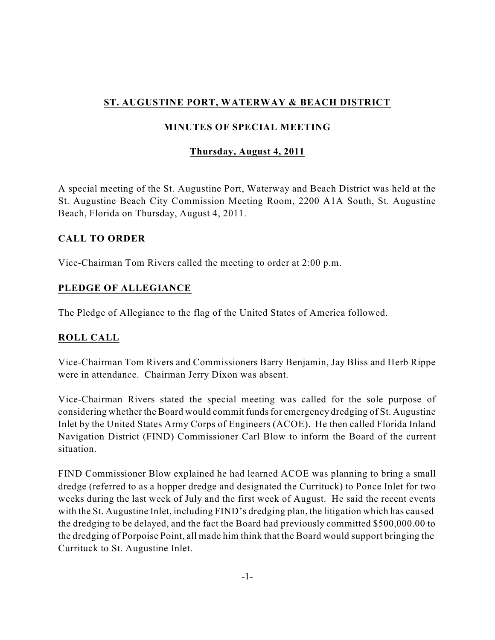# **ST. AUGUSTINE PORT, WATERWAY & BEACH DISTRICT**

## **MINUTES OF SPECIAL MEETING**

## **Thursday, August 4, 2011**

A special meeting of the St. Augustine Port, Waterway and Beach District was held at the St. Augustine Beach City Commission Meeting Room, 2200 A1A South, St. Augustine Beach, Florida on Thursday, August 4, 2011.

#### **CALL TO ORDER**

Vice-Chairman Tom Rivers called the meeting to order at 2:00 p.m.

## **PLEDGE OF ALLEGIANCE**

The Pledge of Allegiance to the flag of the United States of America followed.

## **ROLL CALL**

Vice-Chairman Tom Rivers and Commissioners Barry Benjamin, Jay Bliss and Herb Rippe were in attendance. Chairman Jerry Dixon was absent.

Vice-Chairman Rivers stated the special meeting was called for the sole purpose of considering whether the Board would commit fundsfor emergency dredging of St. Augustine Inlet by the United States Army Corps of Engineers (ACOE). He then called Florida Inland Navigation District (FIND) Commissioner Carl Blow to inform the Board of the current situation.

FIND Commissioner Blow explained he had learned ACOE was planning to bring a small dredge (referred to as a hopper dredge and designated the Currituck) to Ponce Inlet for two weeks during the last week of July and the first week of August. He said the recent events with the St. Augustine Inlet, including FIND's dredging plan, the litigation which has caused the dredging to be delayed, and the fact the Board had previously committed \$500,000.00 to the dredging of Porpoise Point, all made him think that the Board would support bringing the Currituck to St. Augustine Inlet.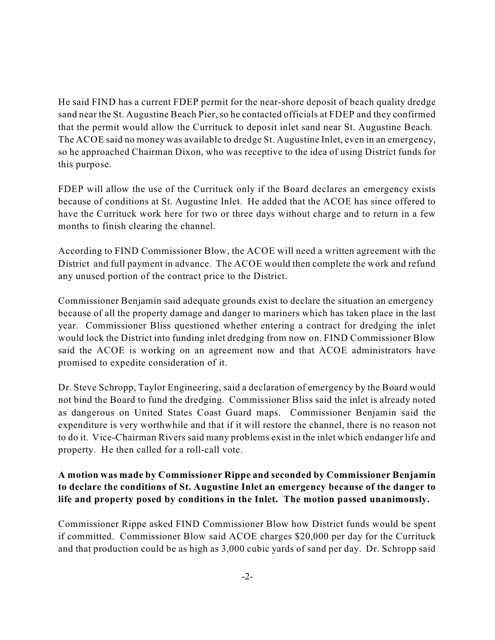He said FIND has a current FDEP permit for the near-shore deposit of beach quality dredge sand near the St. Augustine Beach Pier, so he contacted officials at FDEP and they confirmed that the permit would allow the Currituck to deposit inlet sand near St. Augustine Beach. The ACOE said no money was available to dredge St. Augustine Inlet, even in an emergency, so he approached Chairman Dixon, who was receptive to the idea of using District funds for this purpose.

FDEP will allow the use of the Currituck only if the Board declares an emergency exists because of conditions at St. Augustine Inlet. He added that the ACOE has since offered to have the Currituck work here for two or three days without charge and to return in a few months to finish clearing the channel.

According to FIND Commissioner Blow, the ACOE will need a written agreement with the District and full payment in advance. The ACOE would then complete the work and refund any unused portion of the contract price to the District.

Commissioner Benjamin said adequate grounds exist to declare the situation an emergency because of all the property damage and danger to mariners which has taken place in the last year. Commissioner Bliss questioned whether entering a contract for dredging the inlet would lock the District into funding inlet dredging from now on. FIND Commissioner Blow said the ACOE is working on an agreement now and that ACOE administrators have promised to expedite consideration of it.

Dr. Steve Schropp, Taylor Engineering, said a declaration of emergency by the Board would not bind the Board to fund the dredging. Commissioner Bliss said the inlet is already noted as dangerous on United States Coast Guard maps. Commissioner Benjamin said the expenditure is very worthwhile and that if it will restore the channel, there is no reason not to do it. Vice-Chairman Rivers said many problems exist in the inlet which endanger life and property. He then called for a roll-call vote.

## **A motion was made by Commissioner Rippe and seconded by Commissioner Benjamin to declare the conditions of St. Augustine Inlet an emergency because of the danger to life and property posed by conditions in the Inlet. The motion passed unanimously.**

Commissioner Rippe asked FIND Commissioner Blow how District funds would be spent if committed. Commissioner Blow said ACOE charges \$20,000 per day for the Currituck and that production could be as high as 3,000 cubic yards of sand per day. Dr. Schropp said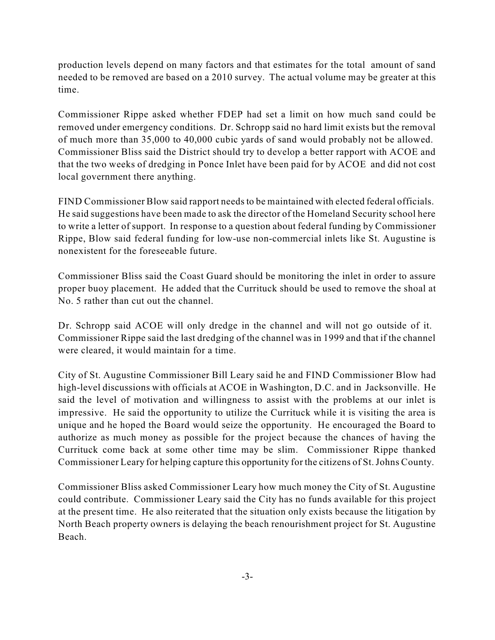production levels depend on many factors and that estimates for the total amount of sand needed to be removed are based on a 2010 survey. The actual volume may be greater at this time.

Commissioner Rippe asked whether FDEP had set a limit on how much sand could be removed under emergency conditions. Dr. Schropp said no hard limit exists but the removal of much more than 35,000 to 40,000 cubic yards of sand would probably not be allowed. Commissioner Bliss said the District should try to develop a better rapport with ACOE and that the two weeks of dredging in Ponce Inlet have been paid for by ACOE and did not cost local government there anything.

FIND Commissioner Blow said rapport needsto be maintained with elected federal officials. He said suggestions have been made to ask the director of the Homeland Security school here to write a letter of support. In response to a question about federal funding by Commissioner Rippe, Blow said federal funding for low-use non-commercial inlets like St. Augustine is nonexistent for the foreseeable future.

Commissioner Bliss said the Coast Guard should be monitoring the inlet in order to assure proper buoy placement. He added that the Currituck should be used to remove the shoal at No. 5 rather than cut out the channel.

Dr. Schropp said ACOE will only dredge in the channel and will not go outside of it. Commissioner Rippe said the last dredging of the channel was in 1999 and that if the channel were cleared, it would maintain for a time.

City of St. Augustine Commissioner Bill Leary said he and FIND Commissioner Blow had high-level discussions with officials at ACOE in Washington, D.C. and in Jacksonville. He said the level of motivation and willingness to assist with the problems at our inlet is impressive. He said the opportunity to utilize the Currituck while it is visiting the area is unique and he hoped the Board would seize the opportunity. He encouraged the Board to authorize as much money as possible for the project because the chances of having the Currituck come back at some other time may be slim. Commissioner Rippe thanked Commissioner Leary for helping capture this opportunity for the citizens of St.Johns County.

Commissioner Bliss asked Commissioner Leary how much money the City of St. Augustine could contribute. Commissioner Leary said the City has no funds available for this project at the present time. He also reiterated that the situation only exists because the litigation by North Beach property owners is delaying the beach renourishment project for St. Augustine Beach.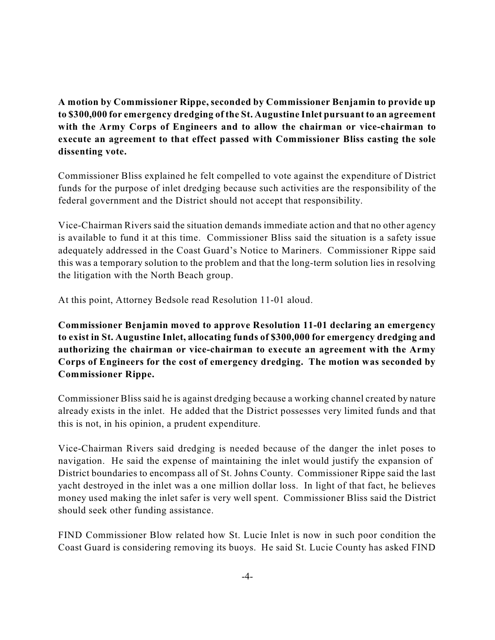**A motion by Commissioner Rippe, seconded by Commissioner Benjamin to provide up to \$300,000 for emergency dredging of the St. Augustine Inlet pursuant to an agreement with the Army Corps of Engineers and to allow the chairman or vice-chairman to execute an agreement to that effect passed with Commissioner Bliss casting the sole dissenting vote.**

Commissioner Bliss explained he felt compelled to vote against the expenditure of District funds for the purpose of inlet dredging because such activities are the responsibility of the federal government and the District should not accept that responsibility.

Vice-Chairman Rivers said the situation demands immediate action and that no other agency is available to fund it at this time. Commissioner Bliss said the situation is a safety issue adequately addressed in the Coast Guard's Notice to Mariners. Commissioner Rippe said this was a temporary solution to the problem and that the long-term solution lies in resolving the litigation with the North Beach group.

At this point, Attorney Bedsole read Resolution 11-01 aloud.

**Commissioner Benjamin moved to approve Resolution 11-01 declaring an emergency to exist in St. Augustine Inlet, allocating funds of \$300,000 for emergency dredging and authorizing the chairman or vice-chairman to execute an agreement with the Army Corps of Engineers for the cost of emergency dredging. The motion was seconded by Commissioner Rippe.**

Commissioner Bliss said he is against dredging because a working channel created by nature already exists in the inlet. He added that the District possesses very limited funds and that this is not, in his opinion, a prudent expenditure.

Vice-Chairman Rivers said dredging is needed because of the danger the inlet poses to navigation. He said the expense of maintaining the inlet would justify the expansion of District boundaries to encompass all of St. Johns County. Commissioner Rippe said the last yacht destroyed in the inlet was a one million dollar loss. In light of that fact, he believes money used making the inlet safer is very well spent. Commissioner Bliss said the District should seek other funding assistance.

FIND Commissioner Blow related how St. Lucie Inlet is now in such poor condition the Coast Guard is considering removing its buoys. He said St. Lucie County has asked FIND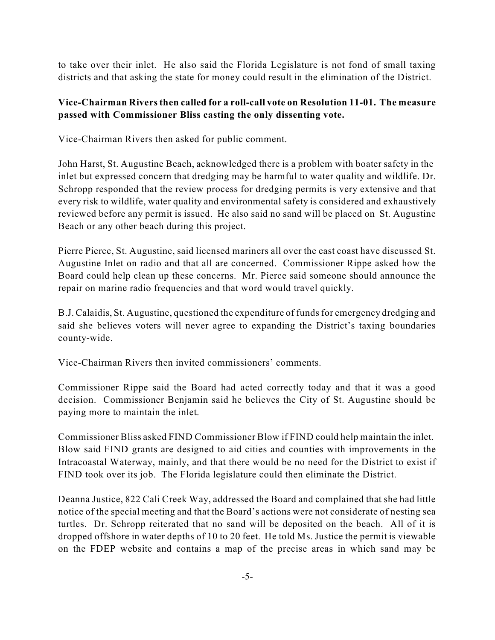to take over their inlet. He also said the Florida Legislature is not fond of small taxing districts and that asking the state for money could result in the elimination of the District.

#### **Vice-Chairman Riversthen called for a roll-call vote on Resolution 11-01. The measure passed with Commissioner Bliss casting the only dissenting vote.**

Vice-Chairman Rivers then asked for public comment.

John Harst, St. Augustine Beach, acknowledged there is a problem with boater safety in the inlet but expressed concern that dredging may be harmful to water quality and wildlife. Dr. Schropp responded that the review process for dredging permits is very extensive and that every risk to wildlife, water quality and environmental safety is considered and exhaustively reviewed before any permit is issued. He also said no sand will be placed on St. Augustine Beach or any other beach during this project.

Pierre Pierce, St. Augustine, said licensed mariners all over the east coast have discussed St. Augustine Inlet on radio and that all are concerned. Commissioner Rippe asked how the Board could help clean up these concerns. Mr. Pierce said someone should announce the repair on marine radio frequencies and that word would travel quickly.

B.J. Calaidis, St. Augustine, questioned the expenditure of fundsfor emergency dredging and said she believes voters will never agree to expanding the District's taxing boundaries county-wide.

Vice-Chairman Rivers then invited commissioners' comments.

Commissioner Rippe said the Board had acted correctly today and that it was a good decision. Commissioner Benjamin said he believes the City of St. Augustine should be paying more to maintain the inlet.

Commissioner Bliss asked FIND Commissioner Blow if FIND could help maintain the inlet. Blow said FIND grants are designed to aid cities and counties with improvements in the Intracoastal Waterway, mainly, and that there would be no need for the District to exist if FIND took over its job. The Florida legislature could then eliminate the District.

Deanna Justice, 822 Cali Creek Way, addressed the Board and complained that she had little notice of the special meeting and that the Board's actions were not considerate of nesting sea turtles. Dr. Schropp reiterated that no sand will be deposited on the beach. All of it is dropped offshore in water depths of 10 to 20 feet. He told Ms. Justice the permit is viewable on the FDEP website and contains a map of the precise areas in which sand may be